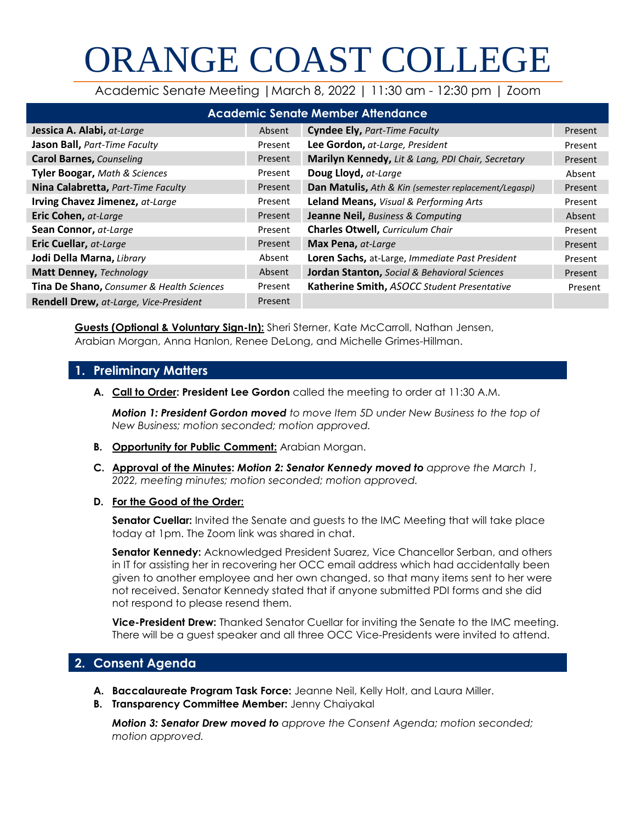# ORANGE COAST COLLEGE

Academic Senate Meeting |March 8, 2022 | 11:30 am - 12:30 pm | Zoom

| <b>Academic Senate Member Attendance</b>  |         |                                                       |         |  |
|-------------------------------------------|---------|-------------------------------------------------------|---------|--|
| Jessica A. Alabi, at-Large                | Absent  | <b>Cyndee Ely, Part-Time Faculty</b>                  | Present |  |
| Jason Ball, Part-Time Faculty             | Present | Lee Gordon, at-Large, President                       | Present |  |
| <b>Carol Barnes, Counseling</b>           | Present | Marilyn Kennedy, Lit & Lang, PDI Chair, Secretary     | Present |  |
| <b>Tyler Boogar, Math &amp; Sciences</b>  | Present | Doug Lloyd, at-Large                                  | Absent  |  |
| Nina Calabretta, Part-Time Faculty        | Present | Dan Matulis, Ath & Kin (semester replacement/Legaspi) | Present |  |
| Irving Chavez Jimenez, at-Large           | Present | Leland Means, Visual & Performing Arts                | Present |  |
| Eric Cohen, at-Large                      | Present | <b>Jeanne Neil, Business &amp; Computing</b>          | Absent  |  |
| Sean Connor, at-Large                     | Present | <b>Charles Otwell, Curriculum Chair</b>               | Present |  |
| Eric Cuellar, at-Large                    | Present | Max Pena, at-Large                                    | Present |  |
| Jodi Della Marna, Library                 | Absent  | Loren Sachs, at-Large, Immediate Past President       | Present |  |
| <b>Matt Denney, Technology</b>            | Absent  | Jordan Stanton, Social & Behavioral Sciences          | Present |  |
| Tina De Shano, Consumer & Health Sciences | Present | Katherine Smith, ASOCC Student Presentative           | Present |  |
| Rendell Drew, at-Large, Vice-President    | Present |                                                       |         |  |

**Guests (Optional & Voluntary Sign-In):** Sheri Sterner, Kate McCarroll, Nathan Jensen, Arabian Morgan, Anna Hanlon, Renee DeLong, and Michelle Grimes-Hillman.

# **1. Preliminary Matters**

**A. Call to Order: President Lee Gordon** called the meeting to order at 11:30 A.M.

*Motion 1: President Gordon moved to move Item 5D under New Business to the top of New Business; motion seconded; motion approved.*

- **B. Opportunity for Public Comment:** Arabian Morgan.
- **C. Approval of the Minutes:** *Motion 2: Senator Kennedy moved to approve the March 1, 2022, meeting minutes; motion seconded; motion approved.*
- **D. For the Good of the Order:**

**Senator Cuellar:** Invited the Senate and guests to the IMC Meeting that will take place today at 1pm. The Zoom link was shared in chat.

**Senator Kennedy:** Acknowledged President Suarez, Vice Chancellor Serban, and others in IT for assisting her in recovering her OCC email address which had accidentally been given to another employee and her own changed, so that many items sent to her were not received. Senator Kennedy stated that if anyone submitted PDI forms and she did not respond to please resend them.

**Vice-President Drew:** Thanked Senator Cuellar for inviting the Senate to the IMC meeting. There will be a guest speaker and all three OCC Vice-Presidents were invited to attend.

# **2. Consent Agenda**

- **A. Baccalaureate Program Task Force:** Jeanne Neil, Kelly Holt, and Laura Miller.
- **B. Transparency Committee Member:** Jenny Chaiyakal

*Motion 3: Senator Drew moved to approve the Consent Agenda; motion seconded; motion approved.*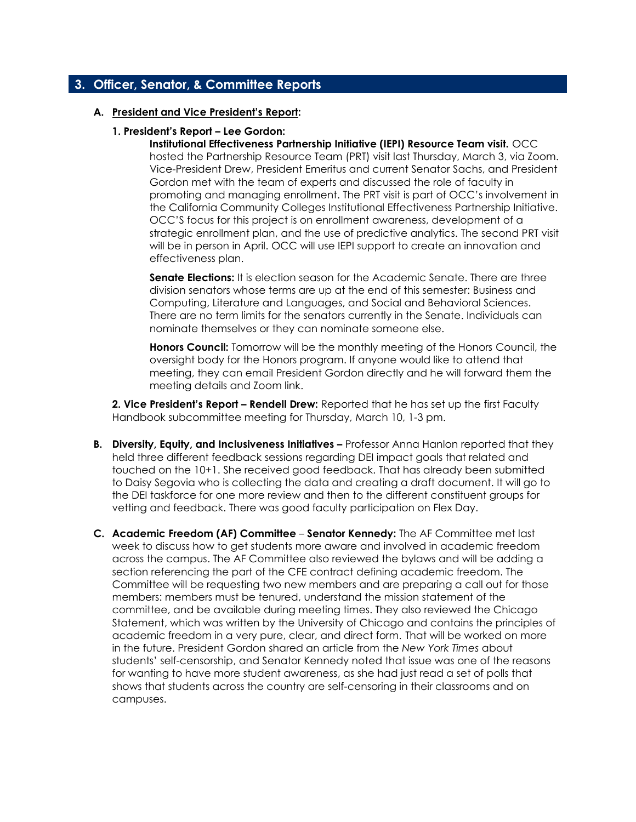# **3. Officer, Senator, & Committee Reports**

#### **A. President and Vice President's Report:**

#### **1. President's Report – Lee Gordon:**

**Institutional Effectiveness Partnership Initiative (IEPI) Resource Team visit.** OCC hosted the Partnership Resource Team (PRT) visit last Thursday, March 3, via Zoom. Vice-President Drew, President Emeritus and current Senator Sachs, and President Gordon met with the team of experts and discussed the role of faculty in promoting and managing enrollment. The PRT visit is part of OCC's involvement in the California Community Colleges Institutional Effectiveness Partnership Initiative. OCC'S focus for this project is on enrollment awareness, development of a strategic enrollment plan, and the use of predictive analytics. The second PRT visit will be in person in April. OCC will use IEPI support to create an innovation and effectiveness plan.

**Senate Elections:** It is election season for the Academic Senate. There are three division senators whose terms are up at the end of this semester: Business and Computing, Literature and Languages, and Social and Behavioral Sciences. There are no term limits for the senators currently in the Senate. Individuals can nominate themselves or they can nominate someone else.

**Honors Council:** Tomorrow will be the monthly meeting of the Honors Council, the oversight body for the Honors program. If anyone would like to attend that meeting, they can email President Gordon directly and he will forward them the meeting details and Zoom link.

**2. Vice President's Report – Rendell Drew:** Reported that he has set up the first Faculty Handbook subcommittee meeting for Thursday, March 10, 1-3 pm.

- **B.** Diversity, Equity, and Inclusiveness Initiatives Professor Anna Hanlon reported that they held three different feedback sessions regarding DEI impact goals that related and touched on the 10+1. She received good feedback. That has already been submitted to Daisy Segovia who is collecting the data and creating a draft document. It will go to the DEI taskforce for one more review and then to the different constituent groups for vetting and feedback. There was good faculty participation on Flex Day.
- **C. Academic Freedom (AF) Committee Senator Kennedy:** The AF Committee met last week to discuss how to get students more aware and involved in academic freedom across the campus. The AF Committee also reviewed the bylaws and will be adding a section referencing the part of the CFE contract defining academic freedom. The Committee will be requesting two new members and are preparing a call out for those members: members must be tenured, understand the mission statement of the committee, and be available during meeting times. They also reviewed the Chicago Statement, which was written by the University of Chicago and contains the principles of academic freedom in a very pure, clear, and direct form. That will be worked on more in the future. President Gordon shared an article from the *New York Times* about students' self-censorship, and Senator Kennedy noted that issue was one of the reasons for wanting to have more student awareness, as she had just read a set of polls that shows that students across the country are self-censoring in their classrooms and on campuses.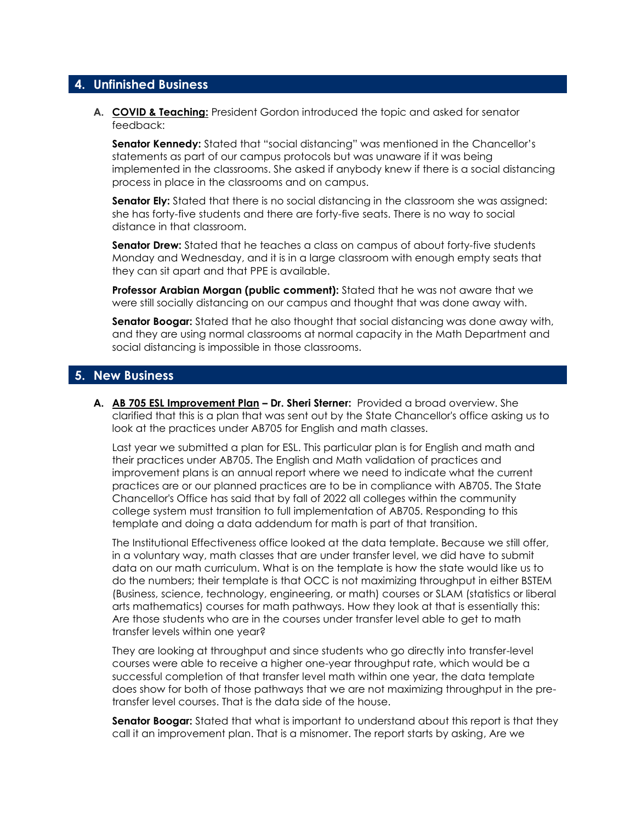# **4. Unfinished Business**

**A. COVID & Teaching:** President Gordon introduced the topic and asked for senator feedback:

**Senator Kennedy:** Stated that "social distancing" was mentioned in the Chancellor's statements as part of our campus protocols but was unaware if it was being implemented in the classrooms. She asked if anybody knew if there is a social distancing process in place in the classrooms and on campus.

**Senator Ely:** Stated that there is no social distancing in the classroom she was assigned: she has forty-five students and there are forty-five seats. There is no way to social distance in that classroom.

**Senator Drew:** Stated that he teaches a class on campus of about forty-five students Monday and Wednesday, and it is in a large classroom with enough empty seats that they can sit apart and that PPE is available.

**Professor Arabian Morgan (public comment):** Stated that he was not aware that we were still socially distancing on our campus and thought that was done away with.

**Senator Boogar:** Stated that he also thought that social distancing was done away with, and they are using normal classrooms at normal capacity in the Math Department and social distancing is impossible in those classrooms.

# **5. New Business**

**A. AB 705 ESL Improvement Plan – Dr. Sheri Sterner:** Provided a broad overview. She clarified that this is a plan that was sent out by the State Chancellor's office asking us to look at the practices under AB705 for English and math classes.

Last year we submitted a plan for ESL. This particular plan is for English and math and their practices under AB705. The English and Math validation of practices and improvement plans is an annual report where we need to indicate what the current practices are or our planned practices are to be in compliance with AB705. The State Chancellor's Office has said that by fall of 2022 all colleges within the community college system must transition to full implementation of AB705. Responding to this template and doing a data addendum for math is part of that transition.

The Institutional Effectiveness office looked at the data template. Because we still offer, in a voluntary way, math classes that are under transfer level, we did have to submit data on our math curriculum. What is on the template is how the state would like us to do the numbers; their template is that OCC is not maximizing throughput in either BSTEM (Business, science, technology, engineering, or math) courses or SLAM (statistics or liberal arts mathematics) courses for math pathways. How they look at that is essentially this: Are those students who are in the courses under transfer level able to get to math transfer levels within one year?

They are looking at throughput and since students who go directly into transfer-level courses were able to receive a higher one-year throughput rate, which would be a successful completion of that transfer level math within one year, the data template does show for both of those pathways that we are not maximizing throughput in the pretransfer level courses. That is the data side of the house.

**Senator Boogar:** Stated that what is important to understand about this report is that they call it an improvement plan. That is a misnomer. The report starts by asking, Are we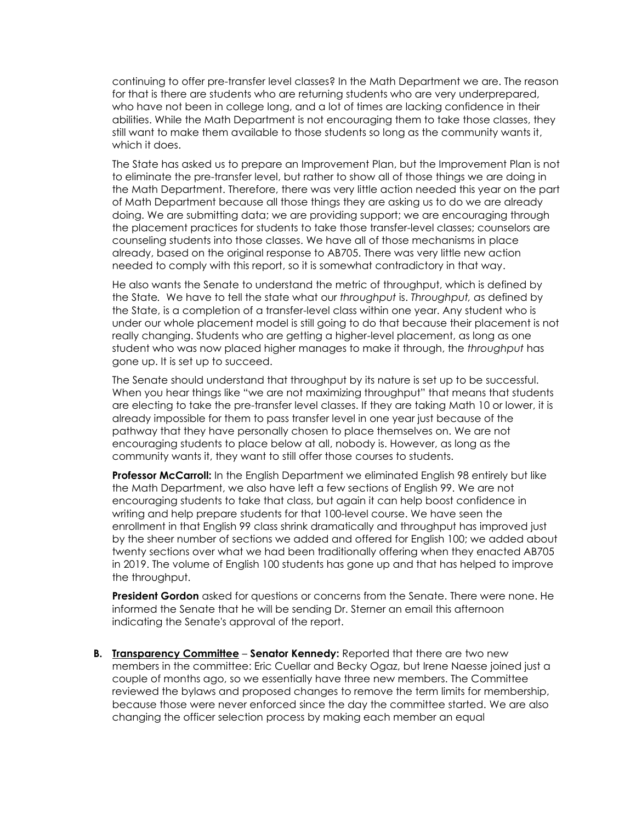continuing to offer pre-transfer level classes? In the Math Department we are. The reason for that is there are students who are returning students who are very underprepared, who have not been in college long, and a lot of times are lacking confidence in their abilities. While the Math Department is not encouraging them to take those classes, they still want to make them available to those students so long as the community wants it, which it does.

The State has asked us to prepare an Improvement Plan, but the Improvement Plan is not to eliminate the pre-transfer level, but rather to show all of those things we are doing in the Math Department. Therefore, there was very little action needed this year on the part of Math Department because all those things they are asking us to do we are already doing. We are submitting data; we are providing support; we are encouraging through the placement practices for students to take those transfer-level classes; counselors are counseling students into those classes. We have all of those mechanisms in place already, based on the original response to AB705. There was very little new action needed to comply with this report, so it is somewhat contradictory in that way.

He also wants the Senate to understand the metric of throughput, which is defined by the State*.* We have to tell the state what our *throughput* is. *Throughput, a*s defined by the State, is a completion of a transfer-level class within one year. Any student who is under our whole placement model is still going to do that because their placement is not really changing. Students who are getting a higher-level placement, as long as one student who was now placed higher manages to make it through, the *throughput* has gone up. It is set up to succeed.

The Senate should understand that throughput by its nature is set up to be successful. When you hear things like "we are not maximizing throughput" that means that students are electing to take the pre-transfer level classes. If they are taking Math 10 or lower, it is already impossible for them to pass transfer level in one year just because of the pathway that they have personally chosen to place themselves on. We are not encouraging students to place below at all, nobody is. However, as long as the community wants it, they want to still offer those courses to students.

**Professor McCarroll:** In the English Department we eliminated English 98 entirely but like the Math Department, we also have left a few sections of English 99. We are not encouraging students to take that class, but again it can help boost confidence in writing and help prepare students for that 100-level course. We have seen the enrollment in that English 99 class shrink dramatically and throughput has improved just by the sheer number of sections we added and offered for English 100; we added about twenty sections over what we had been traditionally offering when they enacted AB705 in 2019. The volume of English 100 students has gone up and that has helped to improve the throughput.

**President Gordon** asked for questions or concerns from the Senate. There were none. He informed the Senate that he will be sending Dr. Sterner an email this afternoon indicating the Senate's approval of the report.

**B. Transparency Committee** – **Senator Kennedy:** Reported that there are two new members in the committee: Eric Cuellar and Becky Ogaz, but Irene Naesse joined just a couple of months ago, so we essentially have three new members. The Committee reviewed the bylaws and proposed changes to remove the term limits for membership, because those were never enforced since the day the committee started. We are also changing the officer selection process by making each member an equal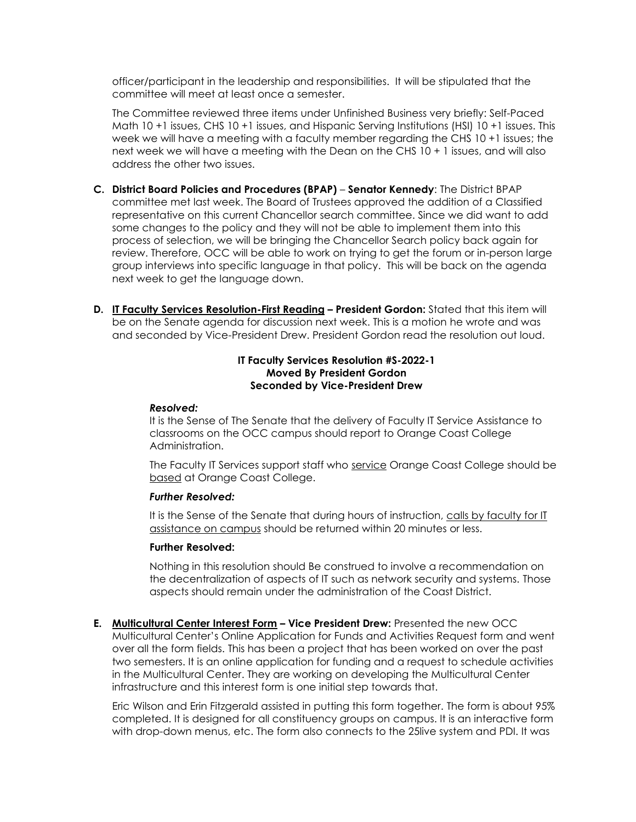officer/participant in the leadership and responsibilities. It will be stipulated that the committee will meet at least once a semester.

The Committee reviewed three items under Unfinished Business very briefly: Self-Paced Math 10 +1 issues, CHS 10 +1 issues, and Hispanic Serving Institutions (HSI) 10 +1 issues. This week we will have a meeting with a faculty member regarding the CHS 10 +1 issues; the next week we will have a meeting with the Dean on the CHS 10 + 1 issues, and will also address the other two issues.

- **C. District Board Policies and Procedures (BPAP) Senator Kennedy**: The District BPAP committee met last week. The Board of Trustees approved the addition of a Classified representative on this current Chancellor search committee. Since we did want to add some changes to the policy and they will not be able to implement them into this process of selection, we will be bringing the Chancellor Search policy back again for review. Therefore, OCC will be able to work on trying to get the forum or in-person large group interviews into specific language in that policy. This will be back on the agenda next week to get the language down.
- **D. IT Faculty Services Resolution-First Reading – President Gordon:** Stated that this item will be on the Senate agenda for discussion next week. This is a motion he wrote and was and seconded by Vice-President Drew. President Gordon read the resolution out loud.

#### **IT Faculty Services Resolution #S-2022-1 Moved By President Gordon Seconded by Vice-President Drew**

#### *Resolved:*

It is the Sense of The Senate that the delivery of Faculty IT Service Assistance to classrooms on the OCC campus should report to Orange Coast College Administration.

The Faculty IT Services support staff who service Orange Coast College should be based at Orange Coast College.

#### *Further Resolved:*

It is the Sense of the Senate that during hours of instruction, calls by faculty for IT assistance on campus should be returned within 20 minutes or less.

#### **Further Resolved:**

Nothing in this resolution should Be construed to involve a recommendation on the decentralization of aspects of IT such as network security and systems. Those aspects should remain under the administration of the Coast District.

**E. Multicultural Center Interest Form – Vice President Drew:** Presented the new OCC Multicultural Center's Online Application for Funds and Activities Request form and went over all the form fields. This has been a project that has been worked on over the past two semesters. It is an online application for funding and a request to schedule activities in the Multicultural Center. They are working on developing the Multicultural Center infrastructure and this interest form is one initial step towards that.

Eric Wilson and Erin Fitzgerald assisted in putting this form together. The form is about 95% completed. It is designed for all constituency groups on campus. It is an interactive form with drop-down menus, etc. The form also connects to the 25live system and PDI. It was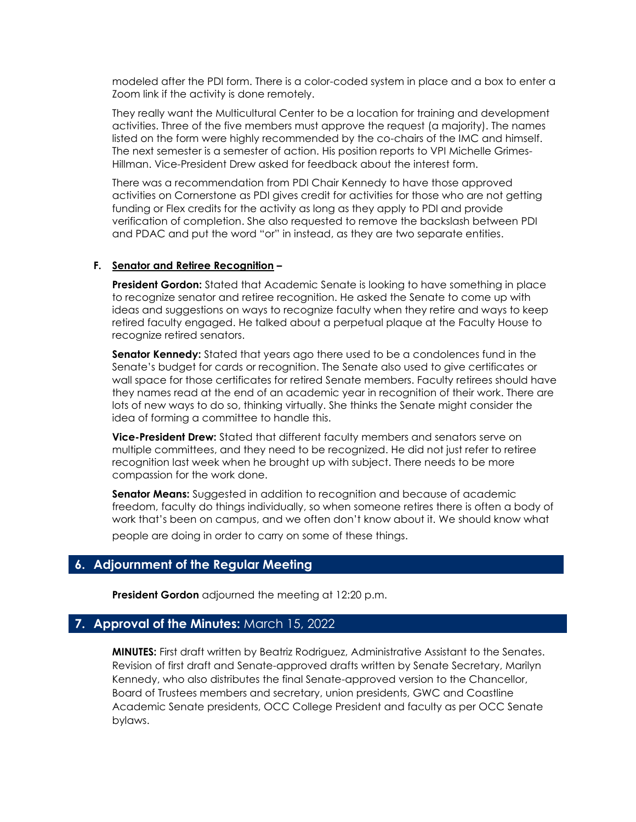modeled after the PDI form. There is a color-coded system in place and a box to enter a Zoom link if the activity is done remotely.

They really want the Multicultural Center to be a location for training and development activities. Three of the five members must approve the request (a majority). The names listed on the form were highly recommended by the co-chairs of the IMC and himself. The next semester is a semester of action. His position reports to VPI Michelle Grimes-Hillman. Vice-President Drew asked for feedback about the interest form.

There was a recommendation from PDI Chair Kennedy to have those approved activities on Cornerstone as PDI gives credit for activities for those who are not getting funding or Flex credits for the activity as long as they apply to PDI and provide verification of completion. She also requested to remove the backslash between PDI and PDAC and put the word "or" in instead, as they are two separate entities.

#### **F. Senator and Retiree Recognition –**

**President Gordon:** Stated that Academic Senate is looking to have something in place to recognize senator and retiree recognition. He asked the Senate to come up with ideas and suggestions on ways to recognize faculty when they retire and ways to keep retired faculty engaged. He talked about a perpetual plaque at the Faculty House to recognize retired senators.

**Senator Kennedy:** Stated that years ago there used to be a condolences fund in the Senate's budget for cards or recognition. The Senate also used to give certificates or wall space for those certificates for retired Senate members. Faculty retirees should have they names read at the end of an academic year in recognition of their work. There are lots of new ways to do so, thinking virtually. She thinks the Senate might consider the idea of forming a committee to handle this.

**Vice-President Drew:** Stated that different faculty members and senators serve on multiple committees, and they need to be recognized. He did not just refer to retiree recognition last week when he brought up with subject. There needs to be more compassion for the work done.

**Senator Means:** Suggested in addition to recognition and because of academic freedom, faculty do things individually, so when someone retires there is often a body of work that's been on campus, and we often don't know about it. We should know what people are doing in order to carry on some of these things.

# **6. Adjournment of the Regular Meeting**

**President Gordon** adjourned the meeting at 12:20 p.m.

#### **7. Approval of the Minutes:** March 15, 2022

**MINUTES:** First draft written by Beatriz Rodriguez, Administrative Assistant to the Senates. Revision of first draft and Senate-approved drafts written by Senate Secretary, Marilyn Kennedy, who also distributes the final Senate-approved version to the Chancellor, Board of Trustees members and secretary, union presidents, GWC and Coastline Academic Senate presidents, OCC College President and faculty as per OCC Senate bylaws.